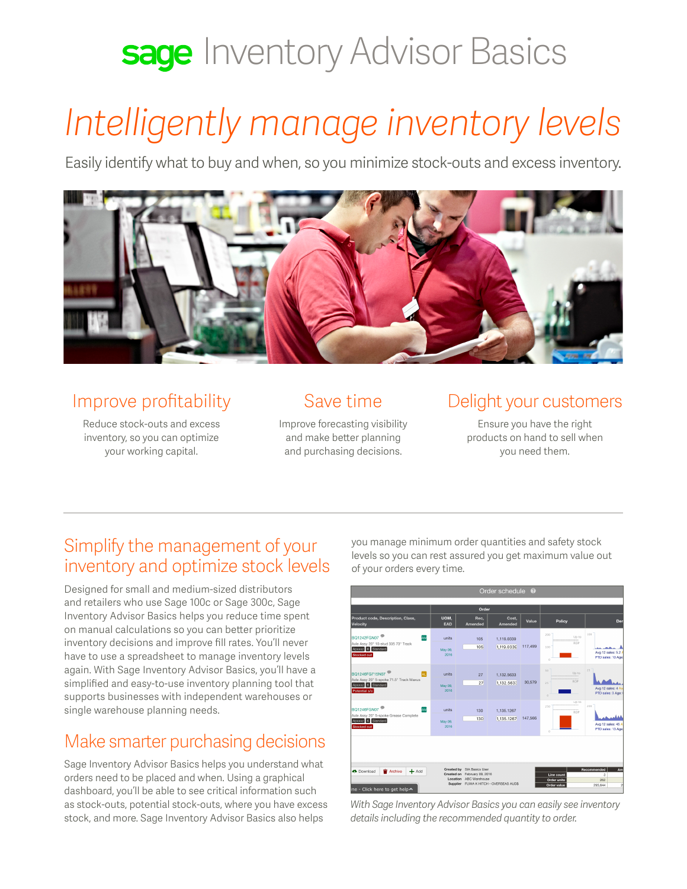# sage Inventory Advisor Basics

# *Intelligently manage inventory levels*

Easily identify what to buy and when, so you minimize stock-outs and excess inventory.



### Improve profitability

Reduce stock-outs and excess inventory, so you can optimize your working capital.

### Save time

Improve forecasting visibility and make better planning and purchasing decisions.

### Delight your customers

Ensure you have the right products on hand to sell when you need them.

### Simplify the management of your inventory and optimize stock levels

Designed for small and medium-sized distributors and retailers who use Sage 100c or Sage 300c, Sage Inventory Advisor Basics helps you reduce time spent on manual calculations so you can better prioritize inventory decisions and improve fill rates. You'll never have to use a spreadsheet to manage inventory levels again. With Sage Inventory Advisor Basics, you'll have a simplified and easy-to-use inventory planning tool that supports businesses with independent warehouses or single warehouse planning needs.

# Make smarter purchasing decisions

Sage Inventory Advisor Basics helps you understand what orders need to be placed and when. Using a graphical dashboard, you'll be able to see critical information such as stock-outs, potential stock-outs, where you have excess stock, and more. Sage Inventory Advisor Basics also helps

you manage minimum order quantities and safety stock levels so you can rest assured you get maximum value out of your orders every time.



*With Sage Inventory Advisor Basics you can easily see inventory details including the recommended quantity to order.*